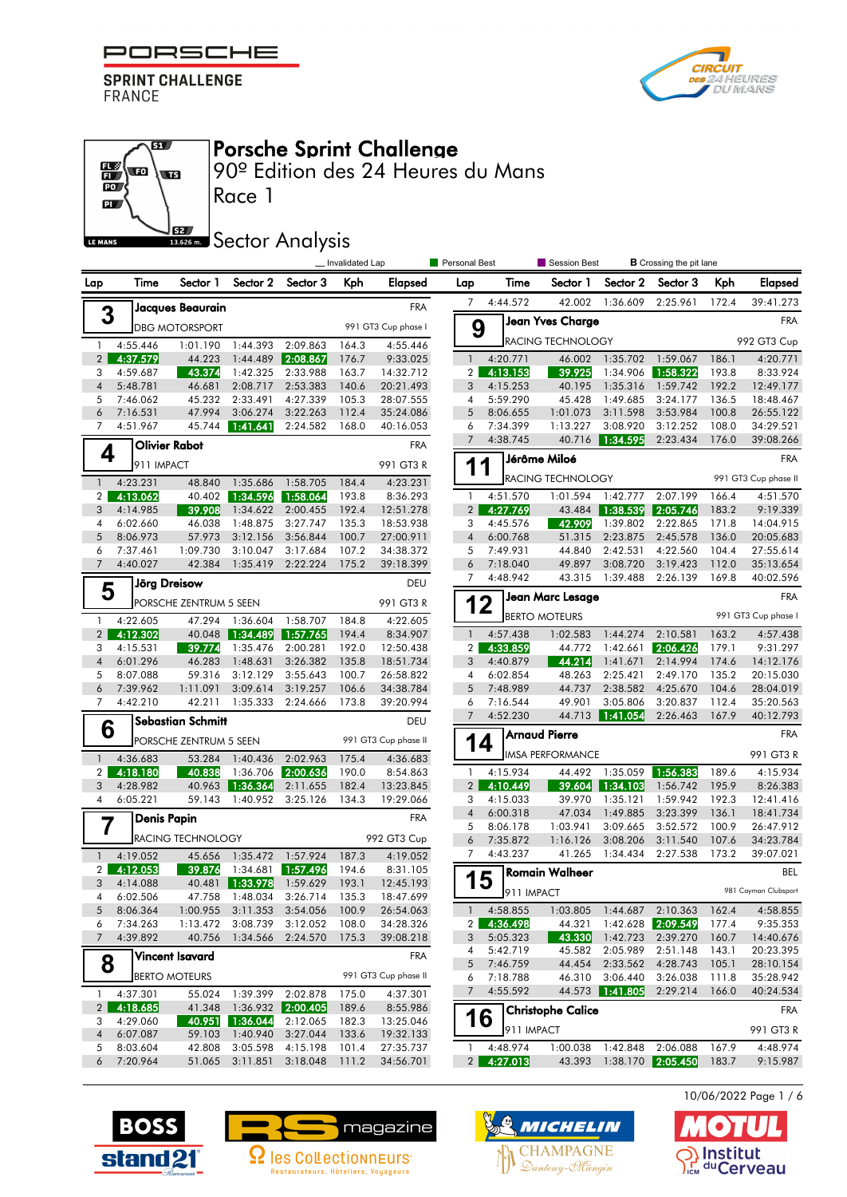



**B**



Porsche Sprint Challenge

90º Edition des 24 Heures du Mans

**SECOLOGY** Analysis

|                |                      |                          |                                                          |          | _Invalidated Lap |                        | Personal Best                    |            | <b>B</b> Crossing the pit lane<br>Session Best |                   |                          |                |                      |
|----------------|----------------------|--------------------------|----------------------------------------------------------|----------|------------------|------------------------|----------------------------------|------------|------------------------------------------------|-------------------|--------------------------|----------------|----------------------|
| Lap            | Time                 | Sector 1                 | Sector 2                                                 | Sector 3 | Kph              | Elapsed                | Lap                              | Time       | Sector 1                                       | Sector 2          | Sector 3                 | Kph            | <b>Elapsed</b>       |
|                |                      | Jacques Beaurain         |                                                          |          |                  | <b>FRA</b>             | 7                                | 4:44.572   | 42.002                                         | 1:36.609          | 2:25.961                 | 172.4          | 39:41.273            |
| 3              |                      | <b>DBG MOTORSPORT</b>    |                                                          |          |                  | 991 GT3 Cup phase I    | 9                                |            | <b>Jean Yves Charge</b>                        |                   |                          |                | <b>FRA</b>           |
| $\mathbf{1}$   | 4:55.446             | 1:01.190                 | 1:44.393                                                 | 2:09.863 | 164.3            | 4:55.446               |                                  |            | RACING TECHNOLOGY                              |                   |                          |                | 992 GT3 Cup          |
| $\overline{2}$ | 4:37.579             | 44.223                   | 1:44.489                                                 | 2:08.867 | 176.7            | 9:33.025               | $\mathbf{1}$                     | 4:20.771   | 46.002                                         | 1:35.702          | 1:59.067                 | 186.1          | 4:20.771             |
| 3              | 4:59.687             | 43.374                   | 1:42.325                                                 | 2:33.988 | 163.7            | 14:32.712              | 2 <sup>1</sup>                   | 4:13.153   | 39.925                                         | 1:34.906          | 1:58.322                 | 193.8          | 8:33.924             |
| $\overline{4}$ | 5:48.781             | 46.681                   | 2:08.717                                                 | 2:53.383 | 140.6            | 20:21.493              | 3                                | 4:15.253   | 40.195                                         | 1:35.316          | 1:59.742                 | 192.2          | 12:49.177            |
| 5              | 7:46.062             | 45.232                   | 2:33.491                                                 | 4:27.339 | 105.3            | 28:07.555              | 4                                | 5:59.290   | 45.428                                         | 1:49.685          | 3:24.177                 | 136.5          | 18:48.467            |
| 6              | 7:16.531             | 47.994                   | 3:06.274                                                 | 3:22.263 | 112.4            | 35:24.086              | 5                                | 8:06.655   | 1:01.073                                       | 3:11.598          | 3:53.984                 | 100.8          | 26:55.122            |
| $\overline{7}$ | 4:51.967             | 45.744                   | 1:41.641                                                 | 2:24.582 | 168.0            | 40:16.053              | 6                                | 7:34.399   | 1:13.227                                       | 3:08.920          | 3:12.252                 | 108.0          | 34:29.521            |
| 4              |                      | <b>Olivier Rabot</b>     |                                                          |          |                  | <b>FRA</b>             | $\overline{7}$                   | 4:38.745   | 40.716                                         | 1:34.595          | 2:23.434                 | 176.0          | 39:08.266            |
|                | 911 IMPACT           |                          |                                                          |          |                  | 991 GT3 R              | 1                                | 1          | Jérôme Miloé                                   |                   |                          |                | <b>FRA</b>           |
| $\mathbf{1}$   | 4:23.231             | 48.840                   | 1:35.686                                                 | 1:58.705 | 184.4            | 4:23.231               |                                  |            | RACING TECHNOLOGY                              |                   |                          |                | 991 GT3 Cup phase II |
| 2              | 4:13.062             | 40.402                   | 1:34.596                                                 | 1:58.064 | 193.8            | 8:36.293               | 1                                | 4:51.570   | 1:01.594                                       | 1:42.777          | 2:07.199                 | 166.4          | 4:51.570             |
| 3              | 4:14.985             | 39.908                   | 1:34.622                                                 | 2:00.455 | 192.4            | 12:51.278              | 2 <sub>1</sub>                   | 4:27.769   | 43.484                                         | 1:38.539          | 2:05.746                 | 183.2          | 9:19.339             |
| 4              | 6:02.660             | 46.038                   | 1:48.875                                                 | 3:27.747 | 135.3            | 18:53.938              | 3                                | 4:45.576   | 42.909                                         | 1:39.802          | 2:22.865                 | 171.8          | 14:04.915            |
| 5              | 8:06.973             | 57.973                   | 3:12.156                                                 | 3:56.844 | 100.7            | 27:00.911              | $\sqrt{4}$                       | 6:00.768   | 51.315                                         | 2:23.875          | 2:45.578                 | 136.0          | 20:05.683            |
| 6              | 7:37.461             | 1:09.730                 | 3:10.047                                                 | 3:17.684 | 107.2            | 34:38.372              | 5                                | 7:49.931   | 44.840                                         | 2:42.531          | 4:22.560                 | 104.4          | 27:55.614            |
| $\overline{7}$ | 4:40.027             | 42.384                   | 1:35.419                                                 | 2:22.224 | 175.2            | 39:18.399              | 6                                | 7:18.040   | 49.897                                         | 3:08.720          | 3:19.423                 | 112.0          | 35:13.654            |
| 5              | Jörg Dreisow         |                          |                                                          |          |                  | DEU                    | 7                                | 4:48.942   | 43.315                                         | 1:39.488          | 2:26.139                 | 169.8          | 40:02.596            |
|                |                      | PORSCHE ZENTRUM 5 SEEN   |                                                          |          |                  | 991 GT3 R              | 12                               |            | Jean Marc Lesage                               |                   |                          |                | <b>FRA</b>           |
| $\mathbf{1}$   | 4:22.605             | 47.294                   | 1:36.604                                                 | 1:58.707 | 184.8            | 4:22.605               |                                  |            | <b>BERTO MOTEURS</b>                           |                   |                          |                | 991 GT3 Cup phase I  |
| $\overline{2}$ | 4:12.302             | 40.048                   | 1:34.489                                                 | 1:57.765 | 194.4            | 8:34.907               | $\mathbf{1}$                     | 4:57.438   | 1:02.583                                       | 1:44.274          | 2:10.581                 | 163.2          | 4:57.438             |
| 3              | 4:15.531             | 39.774                   | 1:35.476                                                 | 2:00.281 | 192.0            | 12:50.438              | 2 <sub>1</sub>                   | 4:33.859   | 44.772                                         | 1:42.661          | 2:06.426                 | 179.1          | 9:31.297             |
| $\overline{4}$ | 6:01.296             | 46.283                   | 1:48.631                                                 | 3:26.382 | 135.8            | 18:51.734              | 3                                | 4:40.879   | 44.214                                         | 1:41.671          | 2:14.994                 | 174.6          | 14:12.176            |
| 5              | 8:07.088             | 59.316                   | 3:12.129                                                 | 3:55.643 | 100.7            | 26:58.822              | 4                                | 6:02.854   | 48.263                                         | 2:25.421          | 2:49.170                 | 135.2          | 20:15.030            |
| 6              | 7:39.962             | 1:11.091                 | 3:09.614                                                 | 3:19.257 | 106.6            | 34:38.784              | 5                                | 7:48.989   | 44.737                                         | 2:38.582          | 4:25.670                 | 104.6          | 28:04.019            |
| $\overline{7}$ | 4:42.210             | 42.211                   | 1:35.333                                                 | 2:24.666 | 173.8            | 39:20.994              | 6                                | 7:16.544   | 49.901                                         | 3:05.806          | 3:20.837                 | 112.4          | 35:20.563            |
| 6              |                      | Sebastian Schmitt        |                                                          |          |                  | DEU                    | $\overline{7}$                   | 4:52.230   |                                                | 44.713 1:41.054   | 2:26.463                 | 167.9          | 40:12.793            |
|                |                      | PORSCHE ZENTRUM 5 SEEN   |                                                          |          |                  | 991 GT3 Cup phase II   | 14                               |            | <b>Arnaud Pierre</b>                           |                   |                          |                | <b>FRA</b>           |
| $\mathbf{1}$   | 4:36.683             | 53.284                   | 1:40.436                                                 | 2:02.963 | 175.4            | 4:36.683               |                                  |            | <b>IMSA PERFORMANCE</b>                        |                   |                          |                | 991 GT3 R            |
| $\overline{c}$ | 4:18.180             | 40.838                   | 1:36.706                                                 | 2:00.636 | 190.0            | 8:54.863               | -1                               | 4:15.934   | 44.492                                         | 1:35.059          | 1:56.383                 | 189.6          | 4:15.934             |
| 3              | 4:28.982             | 40.963                   | 1:36.364                                                 | 2:11.655 | 182.4            | 13:23.845              | 2                                | 4:10.449   | 39.604                                         | 1:34.103          | 1:56.742                 | 195.9          | 8:26.383             |
| 4              | 6:05.221             | 59.143                   | 1:40.952                                                 | 3:25.126 | 134.3            | 19:29.066              | 3                                | 4:15.033   | 39.970                                         | 1:35.121          | 1:59.942                 | 192.3          | 12:41.416            |
|                | <b>Denis Papin</b>   |                          |                                                          |          |                  | <b>FRA</b>             | $\overline{4}$                   | 6:00.318   | 47.034                                         | 1:49.885          | 3:23.399                 | 136.1          | 18:41.734            |
| 7              |                      |                          |                                                          |          |                  |                        | 5                                | 8:06.178   | 1:03.941                                       | 3:09.665          | 3:52.572                 | 100.9          | 26:47.912            |
|                |                      | <b>RACING TECHNOLOGY</b> |                                                          |          |                  | 992 GT3 Cup            | 6                                | 7:35.872   | 1:16.126                                       | 3:08.206          | 3:11.540                 | 107.6          | 34:23.784            |
| $\mathbf{1}$   | 4:19.052             | 45.656                   | 1:35.472                                                 | 1:57.924 | 187.3            | 4:19.052               | $\overline{7}$                   | 4:43.237   | 41.265                                         | 1:34.434          | 2:27.538                 | 173.2          | 39:07.021            |
| $\overline{2}$ | 4:12.053             | 39.876                   | 1:34.681                                                 | 1:57.496 | 194.6            | 8:31.105               | 15                               |            | <b>Romain Walheer</b>                          |                   |                          |                | BEL                  |
| 3              | 4:14.088             |                          | 40.481 1:33.978                                          | 1:59.629 | 193.1            | 12:45.193              |                                  | 911 IMPACT |                                                |                   |                          |                | 981 Cayman Clubsport |
| 4              | 6:02.506             |                          | 47.758  1:48.034  3:26.714<br>1:00.955 3:11.353 3:54.056 |          | 135.3            | 18:47.699              |                                  | 4:58.855   |                                                | 1:44.687 2:10.363 |                          |                |                      |
| 5<br>6         | 8:06.364<br>7:34.263 | 1:13.472                 | 3:08.739                                                 | 3:12.052 | 100.9<br>108.0   | 26:54.063<br>34:28.326 | $\overline{1}$<br>2 <sub>1</sub> | 4:36.498   | 1:03.805<br>44.321                             | 1:42.628          | 2:09.549                 | 162.4<br>177.4 | 4:58.855<br>9:35.353 |
| 7              | 4:39.892             | 40.756                   | 1:34.566                                                 | 2:24.570 | 175.3            | 39:08.218              | 3                                | 5:05.323   | 43.330                                         | 1:42.723          | 2:39.270                 | 160.7          | 14:40.676            |
|                |                      |                          |                                                          |          |                  |                        | 4                                | 5:42.719   | 45.582                                         | 2:05.989          | 2:51.148                 | 143.1          | 20:23.395            |
| 8              |                      | <b>Vincent Isavard</b>   |                                                          |          |                  | <b>FRA</b>             | 5                                | 7:46.759   | 44.454                                         | 2:33.562          | 4:28.743                 | 105.1          | 28:10.154            |
|                |                      | <b>BERTO MOTEURS</b>     |                                                          |          |                  | 991 GT3 Cup phase II   | 6                                | 7:18.788   | 46.310                                         | 3:06.440          | 3:26.038                 | 111.8          | 35:28.942            |
| $\mathbf{1}$   | 4:37.301             | 55.024                   | 1:39.399                                                 | 2:02.878 | 175.0            | 4:37.301               | 7                                | 4:55.592   | 44.573                                         | 1:41.805          | 2:29.214                 | 166.0          | 40:24.534            |
| 2 <sup>1</sup> | 4:18.685             | 41.348                   | 1:36.932 2:00.405                                        |          | 189.6            | 8:55.986               |                                  |            | <b>Christophe Calice</b>                       |                   |                          |                | <b>FRA</b>           |
| 3              | 4:29.060             | 40.951                   | 1:36.044                                                 | 2:12.065 | 182.3            | 13:25.046              | 16                               |            |                                                |                   |                          |                |                      |
| $\overline{4}$ | 6:07.087             | 59.103                   | 1:40.940                                                 | 3:27.044 | 133.6            | 19:32.133              |                                  | 911 IMPACT |                                                |                   |                          |                | 991 GT3 R            |
| 5              | 8:03.604             | 42.808                   | 3:05.598                                                 | 4:15.198 | 101.4            | 27:35.737              | 1                                | 4:48.974   | 1:00.038                                       |                   | 1:42.848 2:06.088        | 167.9          | 4:48.974             |
| 6              | 7:20.964             | 51.065                   | 3:11.851                                                 | 3:18.048 | 111.2            | 34:56.701              | 2 <sub>1</sub>                   | 4:27.013   |                                                |                   | 43.393 1:38.170 2:05.450 | 183.7          | 9:15.987             |
|                |                      |                          |                                                          |          |                  |                        |                                  |            |                                                |                   |                          |                |                      |







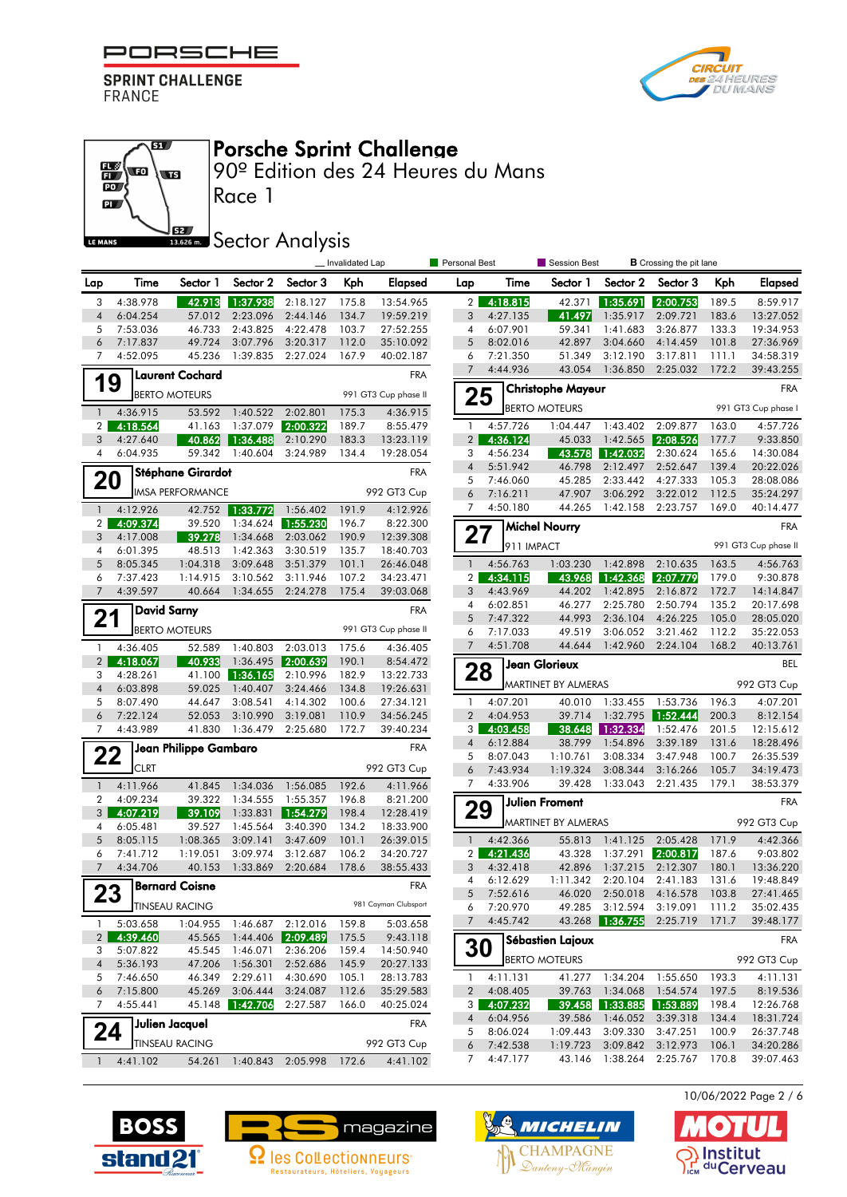





## Porsche Sprint Challenge

90º Edition des 24 Heures du Mans

## **SECONDER SECTOR Analysis**

|                     |                      |                         |                       |                        | _ Invalidated Lap |                        | Personal Best       |                      | Session Best             |                                      | <b>B</b> Crossing the pit lane |                |                        |
|---------------------|----------------------|-------------------------|-----------------------|------------------------|-------------------|------------------------|---------------------|----------------------|--------------------------|--------------------------------------|--------------------------------|----------------|------------------------|
| Lap                 | Time                 | Sector 1                | Sector 2              | Sector 3               | Kph               | Elapsed                | Lap                 | Time                 | Sector 1                 | Sector 2                             | Sector 3                       | Kph            | <b>Elapsed</b>         |
| 3                   | 4:38.978             |                         | 42.913 1:37.938       | 2:18.127               | 175.8             | 13:54.965              | 2 <sub>1</sub>      | 4:18.815             | 42.371                   | 1:35.691                             | 2:00.753                       | 189.5          | 8:59.917               |
| $\sqrt{4}$          | 6:04.254             | 57.012                  | 2:23.096              | 2:44.146               | 134.7             | 19:59.219              | 3                   | 4:27.135             | 41.497                   | 1:35.917                             | 2:09.721                       | 183.6          | 13:27.052              |
| 5                   | 7:53.036             | 46.733                  | 2:43.825              | 4:22.478               | 103.7             | 27:52.255              | 4                   | 6:07.901             | 59.341                   | 1:41.683                             | 3:26.877                       | 133.3          | 19:34.953              |
| 6<br>7              | 7:17.837             | 49.724                  | 3:07.796              | 3:20.317<br>2:27.024   | 112.0             | 35:10.092              | 5                   | 8:02.016<br>7:21.350 | 42.897                   | 3:04.660                             | 4:14.459                       | 101.8          | 27:36.969              |
|                     | 4:52.095             | 45.236                  | 1:39.835              |                        | 167.9             | 40:02.187              | 6<br>7              | 4:44.936             | 51.349<br>43.054         | 3:12.190<br>1:36.850                 | 3:17.811<br>2:25.032           | 111.1<br>172.2 | 34:58.319<br>39:43.255 |
| 19                  |                      | <b>Laurent Cochard</b>  |                       |                        |                   | <b>FRA</b>             |                     |                      | <b>Christophe Mayeur</b> |                                      |                                |                | <b>FRA</b>             |
|                     |                      | <b>BERTO MOTEURS</b>    |                       |                        |                   | 991 GT3 Cup phase II   | 25                  |                      |                          |                                      |                                |                |                        |
| $\mathbf{1}$        | 4:36.915             | 53.592                  | 1:40.522 2:02.801     |                        | 175.3             | 4:36.915               |                     |                      | <b>BERTO MOTEURS</b>     |                                      |                                |                | 991 GT3 Cup phase I    |
| 2 <sub>1</sub>      | 4:18.564             | 41.163                  | 1:37.079              | 2:00.322               | 189.7             | 8:55.479               | $\mathbf{1}$        | 4:57.726             | 1:04.447                 | 1:43.402                             | 2:09.877<br>2:08.526           | 163.0          | 4:57.726               |
| 3<br>$\overline{4}$ | 4:27.640<br>6:04.935 | 40.862<br>59.342        | 1:36.488 <br>1:40.604 | 2:10.290<br>3:24.989   | 183.3<br>134.4    | 13:23.119<br>19:28.054 | $\overline{2}$<br>3 | 4:36.124<br>4:56.234 | 45.033<br>43.578         | 1:42.565<br>1:42.032                 | 2:30.624                       | 177.7<br>165.6 | 9:33.850<br>14:30.084  |
|                     |                      |                         |                       |                        |                   |                        | $\overline{4}$      | 5:51.942             | 46.798                   | 2:12.497                             | 2:52.647                       | 139.4          | 20:22.026              |
| 20                  |                      | Stéphane Girardot       |                       |                        |                   | <b>FRA</b>             | 5                   | 7:46.060             | 45.285                   | 2:33.442                             | 4:27.333                       | 105.3          | 28:08.086              |
|                     |                      | <b>IMSA PERFORMANCE</b> |                       |                        |                   | 992 GT3 Cup            | 6                   | 7:16.211             | 47.907                   | 3:06.292                             | 3:22.012                       | 112.5          | 35:24.297              |
| $\mathbf{1}$        | 4:12.926             |                         | 42.752 1:33.772       | 1:56.402               | 191.9             | 4:12.926               | 7                   | 4:50.180             | 44.265                   | 1:42.158                             | 2:23.757                       | 169.0          | 40:14.477              |
| 2 <sup>1</sup>      | 4:09.374             | 39.520                  | 1:34.624              | 1:55.230               | 196.7             | 8:22.300               |                     |                      | <b>Michel Nourry</b>     |                                      |                                |                | <b>FRA</b>             |
| 3                   | 4:17.008             | 39.278                  | 1:34.668              | 2:03.062               | 190.9             | 12:39.308              | 27                  | 911 IMPACT           |                          |                                      |                                |                | 991 GT3 Cup phase II   |
| $\overline{4}$<br>5 | 6:01.395<br>8:05.345 | 48.513<br>1:04.318      | 1:42.363<br>3:09.648  | 3:30.519               | 135.7             | 18:40.703              | $\mathbf{1}$        | 4:56.763             |                          | 1:42.898                             |                                |                | 4:56.763               |
| 6                   | 7:37.423             | 1:14.915                | 3:10.562              | 3:51.379<br>3:11.946   | 101.1<br>107.2    | 26:46.048<br>34:23.471 | $\overline{2}$      | 4:34.115             | 1:03.230<br>43.968       | 1:42.368                             | 2:10.635<br>2:07.779           | 163.5<br>179.0 | 9:30.878               |
| $\overline{7}$      | 4:39.597             | 40.664                  | 1:34.655              | 2:24.278               | 175.4             | 39:03.068              | 3                   | 4:43.969             | 44.202                   | 1:42.895                             | 2:16.872                       | 172.7          | 14:14.847              |
|                     |                      | <b>David Sarny</b>      |                       |                        |                   | <b>FRA</b>             | 4                   | 6:02.851             | 46.277                   | 2:25.780                             | 2:50.794                       | 135.2          | 20:17.698              |
| 21                  |                      |                         |                       |                        |                   |                        | 5                   | 7:47.322             | 44.993                   | 2:36.104                             | 4:26.225                       | 105.0          | 28:05.020              |
|                     |                      | <b>BERTO MOTEURS</b>    |                       |                        |                   | 991 GT3 Cup phase II   | 6                   | 7:17.033             | 49.519                   | 3:06.052                             | 3:21.462                       | 112.2          | 35:22.053              |
| $\mathbf{1}$        | 4:36.405             | 52.589                  | 1:40.803              | 2:03.013               | 175.6             | 4:36.405               | 7                   | 4:51.708             | 44.644                   | 1:42.960                             | 2:24.104                       | 168.2          | 40:13.761              |
| 2 <sup>1</sup>      | 4:18.067             | 40.933                  | 1:36.495              | 2:00.639               | 190.1             | 8:54.472               | 28                  |                      | Jean Glorieux            |                                      |                                |                | <b>BEL</b>             |
| 3                   | 4:28.261             | 41.100                  | 1:36.165              | 2:10.996               | 182.9             | 13:22.733              |                     |                      | MARTINET BY ALMERAS      |                                      |                                |                | 992 GT3 Cup            |
| $\overline{4}$<br>5 | 6:03.898<br>8:07.490 | 59.025<br>44.647        | 1:40.407<br>3:08.541  | 3:24.466<br>4:14.302   | 134.8<br>100.6    | 19:26.631<br>27:34.121 | $\mathbf{1}$        | 4:07.201             | 40.010                   | 1:33.455                             | 1:53.736                       | 196.3          | 4:07.201               |
| 6                   | 7:22.124             | 52.053                  | 3:10.990              | 3:19.081               | 110.9             | 34:56.245              | $\overline{2}$      | 4:04.953             | 39.714                   |                                      |                                | 200.3          | 8:12.154               |
| 7                   | 4:43.989             | 41.830                  | 1:36.479              | 2:25.680               | 172.7             | 39:40.234              | 3                   | 4:03.458             | 38.648                   | 1:32.334                             | 1:52.476                       | 201.5          | 12:15.612              |
|                     |                      | Jean Philippe Gambaro   |                       |                        |                   | <b>FRA</b>             | 4                   | 6:12.884             | 38.799                   | 1:54.896                             | 3:39.189                       | 131.6          | 18:28.496              |
| 22                  |                      |                         |                       |                        |                   |                        | 5                   | 8:07.043             | 1:10.761                 | 3:08.334                             | 3:47.948                       | 100.7          | 26:35.539              |
|                     | <b>CLRT</b>          |                         |                       |                        |                   | 992 GT3 Cup            | 6                   | 7:43.934             | 1:19.324                 | 3:08.344                             | 3:16.266                       | 105.7          | 34:19.473              |
| $\mathbf{1}$        | 4:11.966             | 41.845                  | 1:34.036              | 1:56.085               | 192.6             | 4:11.966               | 7                   | 4:33.906             | 39.428                   | 1:33.043                             | 2:21.435                       | 179.1          | 38:53.379              |
| $\overline{2}$<br>3 | 4:09.234<br>4:07.219 | 39.322<br>39.109        | 1:34.555<br>1:33.831  | 1:55.357<br>  1:54.279 | 196.8<br>198.4    | 8:21.200<br>12:28.419  | 29                  |                      | <b>Julien Froment</b>    |                                      |                                |                | <b>FRA</b>             |
| 4                   | 6:05.481             | 39.527                  | 1:45.564              | 3:40.390               | 134.2             | 18:33.900              |                     |                      | MARTINET BY ALMERAS      |                                      |                                |                | 992 GT3 Cup            |
| 5                   | 8:05.115             | 1:08.365                | 3:09.141              | 3:47.609               | 101.1             | 26:39.015              | $\mathbf{1}$        | 4:42.366             | 55.813                   |                                      | 1:41.125 2:05.428              | 171.9          | 4:42.366               |
| 6                   | 7:41.712             | 1:19.051                | 3:09.974              | 3:12.687               | 106.2             | 34:20.727              | $\overline{2}$      | 4:21.436             | 43.328                   | 1:37.291                             | 2:00.817                       | 187.6          | 9:03.802               |
| $\overline{7}$      | 4:34.706             | 40.153                  | 1:33.869              | 2:20.684               | 178.6             | 38:55.433              | 3                   | 4:32.418             | 42.896                   |                                      | 1:37.215 2:12.307              | 180.1          | 13:36.220              |
|                     |                      | Bernard Coisne          |                       |                        |                   | <b>FRA</b>             | 4                   | 6:12.629             |                          | 1:11.342 2:20.104                    | 2:41.183                       | 131.6          | 19:48.849              |
| 23                  |                      | TINSEAU RACING          |                       |                        |                   | 981 Cayman Clubsport   | 5<br>6              | 7:52.616<br>7:20.970 | 49.285                   | 46.020 2:50.018 4:16.578<br>3:12.594 | 3:19.091                       | 103.8<br>111.2 | 27:41.465<br>35:02.435 |
| -1                  | 5:03.658             | 1:04.955                | 1:46.687              | 2:12.016               | 159.8             | 5:03.658               | 7                   | 4:45.742             | 43.268                   | 1:36.755                             | 2:25.719                       | 171.7          | 39:48.177              |
| 2 <sup>2</sup>      | 4:39.460             | 45.565                  |                       | 1:44.406 2:09.489      | 175.5             | 9:43.118               |                     |                      | Sébastien Lajoux         |                                      |                                |                | <b>FRA</b>             |
| 3                   | 5:07.822             | 45.545                  | 1:46.071              | 2:36.206               | 159.4             | 14:50.940              | 30                  |                      |                          |                                      |                                |                |                        |
| $\overline{4}$      | 5:36.193             | 47.206                  | 1:56.301              | 2:52.686               | 145.9             | 20:27.133              |                     |                      | <b>BERTO MOTEURS</b>     |                                      |                                |                | 992 GT3 Cup            |
| 5                   | 7:46.650             | 46.349                  | 2:29.611              | 4:30.690               | 105.1             | 28:13.783              | 1.                  | 4:11.131             | 41.277                   | 1:34.204                             | 1:55.650                       | 193.3          | 4:11.131               |
| 6                   | 7:15.800             | 45.269                  | 3:06.444              | 3:24.087               | 112.6             | 35:29.583              | $\overline{2}$      | 4:08.405             | 39.763                   | 1:34.068                             | 1:54.574                       | 197.5          | 8:19.536               |
| 7                   | 4:55.441             | 45.148                  | 1:42.706              | 2:27.587               | 166.0             | 40:25.024              | 3                   | 4:07.232             | 39.458                   | 1:33.885                             | 1:53.889                       | 198.4          | 12:26.768              |
| 24                  |                      | Julien Jacquel          |                       |                        |                   | <b>FRA</b>             | $\overline{4}$<br>5 | 6:04.956<br>8:06.024 | 39.586<br>1:09.443       | 1:46.052<br>3:09.330                 | 3:39.318<br>3:47.251           | 134.4<br>100.9 | 18:31.724<br>26:37.748 |
|                     |                      | <b>TINSEAU RACING</b>   |                       |                        |                   | 992 GT3 Cup            | 6                   | 7:42.538             | 1:19.723                 | 3:09.842                             | 3:12.973                       | 106.1          | 34:20.286              |
| $\mathbf{1}$        | 4:41.102             | 54.261                  | 1:40.843              | 2:05.998               | 172.6             | 4:41.102               | 7                   | 4:47.177             | 43.146                   | 1:38.264                             | 2:25.767                       | 170.8          | 39:07.463              |
|                     |                      |                         |                       |                        |                   |                        |                     |                      |                          |                                      |                                |                |                        |







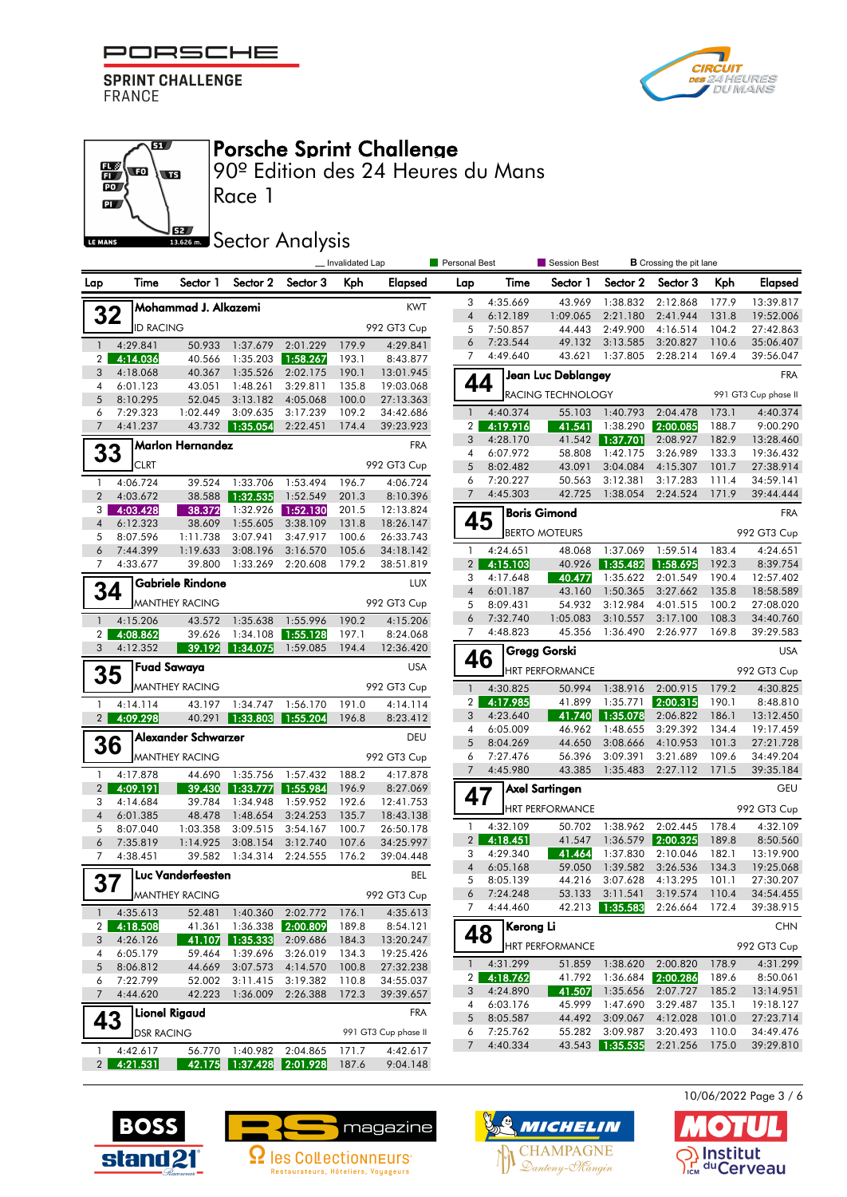

61

 $\overline{\mathbf{w}}$ 





90º Edition des 24 Heures du Mans

 $\overline{\mathbf{p}}$ 62 LE MANS

 $\frac{1}{10}$ 

## **SECONDER Analysis**

Race 1

|                       |                      | _ Invalidated Lap<br>Personal Best<br>Session Best<br><b>B</b> Crossing the pit lane |                      |                               |                |                        |                |                      |                        |                          |                                                     |                |                        |
|-----------------------|----------------------|--------------------------------------------------------------------------------------|----------------------|-------------------------------|----------------|------------------------|----------------|----------------------|------------------------|--------------------------|-----------------------------------------------------|----------------|------------------------|
| Lap                   | Time                 | Sector 1                                                                             | Sector 2             | Sector 3                      | Kph            | Elapsed                | Lap            | Time                 | Sector 1               | Sector 2                 | Sector 3                                            | Kph            | <b>Elapsed</b>         |
|                       |                      | ]Mohammad J. Alkazemi                                                                |                      |                               |                | <b>KWT</b>             | 3              | 4:35.669             | 43.969                 | 1:38.832                 | 2:12.868                                            | 177.9          | 13:39.817              |
| 32                    |                      |                                                                                      |                      |                               |                |                        | $\overline{4}$ | 6:12.189             | 1:09.065               | 2:21.180                 | 2:41.944                                            | 131.8          | 19:52.006              |
|                       | <b>ID RACING</b>     |                                                                                      |                      |                               |                | 992 GT3 Cup            | 5<br>6         | 7:50.857<br>7:23.544 | 44.443<br>49.132       | 2:49.900<br>3:13.585     | 4:16.514<br>3:20.827                                | 104.2<br>110.6 | 27:42.863<br>35:06.407 |
| $\mathbf{1}$          | 4:29.841             | 50.933                                                                               |                      | 1:37.679 2:01.229             | 179.9          | 4:29.841               | $\overline{7}$ | 4:49.640             | 43.621                 | 1:37.805                 | 2:28.214                                            | 169.4          | 39:56.047              |
| $\overline{2}$<br>3   | 4:14.036<br>4:18.068 | 40.566<br>40.367                                                                     | 1:35.203<br>1:35.526 | 1:58.267<br>2:02.175          | 193.1<br>190.1 | 8:43.877<br>13:01.945  |                |                      |                        |                          |                                                     |                |                        |
| 4                     | 6:01.123             | 43.051                                                                               | 1:48.261             | 3:29.811                      | 135.8          | 19:03.068              | 44             |                      | Jean Luc Deblangey     |                          |                                                     |                | <b>FRA</b>             |
| 5                     | 8:10.295             | 52.045                                                                               | 3:13.182             | 4:05.068                      | 100.0          | 27:13.363              |                |                      | RACING TECHNOLOGY      |                          |                                                     |                | 991 GT3 Cup phase II   |
| 6                     | 7:29.323             | 1:02.449                                                                             | 3:09.635             | 3:17.239                      | 109.2          | 34:42.686              | $\mathbf{1}$   | 4:40.374             | 55.103                 | 1:40.793                 | 2:04.478                                            | 173.1          | 4:40.374               |
| $\overline{7}$        | 4:41.237             | 43.732                                                                               | 1:35.054             | 2:22.451                      | 174.4          | 39:23.923              | 2 <sub>1</sub> | 4:19.916             | 41.541                 | 1:38.290                 | 2:00.085                                            | 188.7          | 9:00.290               |
|                       |                      | Marlon Hernandez                                                                     |                      |                               |                | <b>FRA</b>             | 3              | 4:28.170             | 41.542                 | 1:37.701                 | 2:08.927                                            | 182.9          | 13:28.460              |
| 33                    |                      |                                                                                      |                      |                               |                |                        | 4              | 6:07.972             | 58,808                 | 1:42.175                 | 3:26.989                                            | 133.3          | 19:36.432              |
|                       | <b>CLRT</b>          |                                                                                      |                      |                               |                | 992 GT3 Cup            | 5              | 8:02.482             | 43.091                 | 3:04.084                 | 4:15.307                                            | 101.7          | 27:38.914              |
| $\mathbf{1}$          | 4:06.724             | 39.524                                                                               | 1:33.706             | 1:53.494                      | 196.7          | 4:06.724               | 6<br>7         | 7:20.227<br>4:45.303 | 50.563<br>42.725       | 3:12.381<br>1:38.054     | 3:17.283<br>2:24.524                                | 111.4<br>171.9 | 34:59.141<br>39:44.444 |
| $\overline{2}$<br>3 I | 4:03.672             | 38.588                                                                               | 1:32.535             | 1:52.549                      | 201.3          | 8:10.396               |                |                      |                        |                          |                                                     |                |                        |
| $\overline{4}$        | 4:03.428<br>6:12.323 | 38.372<br>38.609                                                                     | 1:55.605             | 1:32.926 1:52.130<br>3:38.109 | 201.5<br>131.8 | 12:13.824<br>18:26.147 | 45             |                      | <b>Boris Gimond</b>    |                          |                                                     |                | <b>FRA</b>             |
| 5                     | 8:07.596             | 1:11.738                                                                             | 3:07.941             | 3:47.917                      | 100.6          | 26:33.743              |                |                      | <b>BERTO MOTEURS</b>   |                          |                                                     |                | 992 GT3 Cup            |
| 6                     | 7:44.399             | 1:19.633                                                                             | 3:08.196             | 3:16.570                      | 105.6          | 34:18.142              | 1              | 4:24.651             | 48.068                 | 1:37.069                 | 1:59.514                                            | 183.4          | 4:24.651               |
| 7                     | 4:33.677             | 39.800                                                                               | 1:33.269             | 2:20.608                      | 179.2          | 38:51.819              | 2 <sub>1</sub> | 4:15.103             | 40.926                 | 1:35.482                 | 1:58.695                                            | 192.3          | 8:39.754               |
|                       |                      | Gabriele Rindone                                                                     |                      |                               |                | LUX                    | 3              | 4:17.648             | 40.477                 | 1:35.622                 | 2:01.549                                            | 190.4          | 12:57.402              |
| 34                    |                      |                                                                                      |                      |                               |                |                        | $\overline{4}$ | 6:01.187             | 43.160                 | 1:50.365                 | 3:27.662                                            | 135.8          | 18:58.589              |
|                       |                      | <b>MANTHEY RACING</b>                                                                |                      |                               |                | 992 GT3 Cup            | 5              | 8:09.431             | 54.932                 | 3:12.984                 | 4:01.515                                            | 100.2          | 27:08.020              |
| $\mathbf{1}$          | 4:15.206             | 43.572                                                                               | 1:35.638             | 1:55.996                      | 190.2          | 4:15.206               | 6              | 7:32.740             | 1:05.083               | 3:10.557                 | 3:17.100                                            | 108.3          | 34:40.760              |
| $\overline{2}$        | 4:08.862             | 39.626                                                                               | 1:34.108             | 1:55.128                      | 197.1          | 8:24.068               | 7              | 4:48.823             | 45.356                 | 1:36.490                 | 2:26.977                                            | 169.8          | 39:29.583              |
| 3                     | 4:12.352             | 39.192                                                                               | 1:34.075             | 1:59.085                      | 194.4          | 12:36.420              | 46             |                      | Gregg Gorski           |                          |                                                     |                | <b>USA</b>             |
| 35                    |                      | Fuad Sawaya                                                                          |                      |                               |                | <b>USA</b>             |                |                      | <b>HRT PERFORMANCE</b> |                          |                                                     |                | 992 GT3 Cup            |
|                       |                      | <b>MANTHEY RACING</b>                                                                |                      |                               |                | 992 GT3 Cup            | $\mathbf{1}$   | 4:30.825             | 50.994                 | 1:38.916                 | 2:00.915                                            | 179.2          | 4:30.825               |
| $\mathbf{1}$          | 4:14.114             | 43.197                                                                               | 1:34.747             | 1:56.170                      | 191.0          | 4:14.114               | 2 <sub>1</sub> | 4:17.985             | 41.899                 | 1:35.771                 | 2:00.315                                            | 190.1          | 8:48.810               |
| 2 <sup>1</sup>        | 4:09.298             | 40.291                                                                               | 1:33.803             | 1:55.204                      | 196.8          | 8:23.412               | 3              | 4:23.640             | 41.740                 | 1:35.078                 | 2:06.822                                            | 186.1          | 13:12.450              |
|                       |                      | Alexander Schwarzer                                                                  |                      |                               |                | DEU                    | 4              | 6:05.009             | 46.962                 | 1:48.655                 | 3:29.392                                            | 134.4          | 19:17.459              |
| 36                    |                      |                                                                                      |                      |                               |                |                        | 5<br>6         | 8:04.269<br>7:27.476 | 44.650<br>56.396       | 3:08.666                 | 4:10.953<br>3:21.689                                | 101.3<br>109.6 | 27:21.728              |
|                       |                      | <b>MANTHEY RACING</b>                                                                |                      |                               |                | 992 GT3 Cup            | $\overline{7}$ | 4:45.980             | 43.385                 | 3:09.391<br>1:35.483     | 2:27.112                                            | 171.5          | 34:49.204<br>39:35.184 |
| $\mathbf{1}$          | 4:17.878             | 44.690                                                                               | 1:35.756             | 1:57.432                      | 188.2          | 4:17.878               |                |                      |                        |                          |                                                     |                |                        |
| $\overline{2}$<br>3   | 4:09.191<br>4:14.684 | 39.430<br>39.784                                                                     | 1:33.777<br>1:34.948 | 1:55.984<br>1:59.952          | 196.9<br>192.6 | 8:27.069<br>12:41.753  | 47             |                      | Axel Sartingen         |                          |                                                     |                | <b>GEU</b>             |
| $\overline{4}$        | 6:01.385             | 48.478                                                                               | 1:48.654             | 3:24.253                      | 135.7          | 18:43.138              |                |                      | <b>HRT PERFORMANCE</b> |                          |                                                     |                | 992 GT3 Cup            |
| 5                     | 8:07.040             | 1:03.358                                                                             | 3:09.515             | 3:54.167                      | 100.7          | 26:50.178              | $\mathbf{1}$   | 4:32.109             | 50.702                 | 1:38.962                 | 2:02.445                                            | 178.4          | 4:32.109               |
| 6                     | 7:35.819             | 1:14.925                                                                             | 3:08.154             | 3:12.740                      | 107.6          | 34:25.997              | 2 <sup>2</sup> | 4:18.451             | 41.547                 |                          | 1:36.579 2:00.325                                   | 189.8          | 8:50.560               |
| 7                     | 4:38.451             | 39.582                                                                               | 1:34.314             | 2:24.555                      | 176.2          | 39:04.448              | 3              | 4:29.340             | 41.464                 | 1:37.830                 | 2:10.046                                            | 182.1          | 13:19.900              |
|                       |                      | Luc Vanderfeesten                                                                    |                      |                               |                | <b>BEL</b>             | $\overline{4}$ | 6:05.168             | 59.050                 | 1:39.582                 | 3:26.536                                            | 134.3          | 19:25.068              |
| 37                    |                      |                                                                                      |                      |                               |                |                        | 5              | 8:05.139             | 44.216                 | 3:07.628                 | 4:13.295                                            | 101.1          | 27:30.207              |
|                       |                      | $\blacksquare$ MANTHEY RACING                                                        |                      |                               |                | 992 GT3 Cup            | 6              | 7:24.248<br>4:44.460 | 53.133                 |                          | 3:11.541 3:19.574<br>42.213 1:35.583 2:26.664 172.4 | 110.4          | 34:54.455<br>39:38.915 |
|                       | $1 \quad 4:35.613$   | 52.481                                                                               |                      | 1:40.360 2:02.772             | 176.1          | 4:35.613               | 7              |                      |                        |                          |                                                     |                |                        |
|                       | 2 4:18.508           | 41.361                                                                               | 1:36.338             | 2:00.809                      | 189.8          | 8:54.121               | 48             | Kerong Li            |                        |                          |                                                     |                | <b>CHN</b>             |
| 3 <sup>1</sup>        | 4:26.126             | 41.107                                                                               | 1:35.333             | 2:09.686                      | 184.3          | 13:20.247              |                |                      | <b>HRT PERFORMANCE</b> |                          |                                                     |                | 992 GT3 Cup            |
| 4<br>5                | 6:05.179<br>8:06.812 | 59.464<br>44.669                                                                     | 1:39.696<br>3:07.573 | 3:26.019<br>4:14.570          | 134.3<br>100.8 | 19:25.426<br>27:32.238 | $\mathbf{1}$   | 4:31.299             |                        | 51.859 1:38.620 2:00.820 |                                                     | 178.9          | 4:31.299               |
| 6                     | 7:22.799             | 52.002                                                                               | 3:11.415             | 3:19.382                      | 110.8          | 34:55.037              | 2 <sub>1</sub> | 4:18.762             | 41.792                 |                          | 1:36.684 2:00.286                                   | 189.6          | 8:50.061               |
| 7 <sup>7</sup>        | 4:44.620             | 42.223                                                                               | 1:36.009             | 2:26.388                      | 172.3          | 39:39.657              | 3              | 4:24.890             | 41.507                 |                          | 1:35.656 2:07.727                                   | 185.2          | 13:14.951              |
|                       |                      |                                                                                      |                      |                               |                |                        | 4              | 6:03.176             | 45.999                 | 1:47.690                 | 3:29.487                                            | 135.1          | 19:18.127              |
| 43                    |                      | <b>Lionel Rigaud</b>                                                                 |                      |                               |                | FRA                    | 5              | 8:05.587             | 44.492                 | 3:09.067                 | 4:12.028                                            | 101.0          | 27:23.714              |
|                       | <b>DSR RACING</b>    |                                                                                      |                      |                               |                | 991 GT3 Cup phase II   | 6              | 7:25.762             | 55.282                 | 3:09.987                 | 3:20.493                                            | 110.0          | 34:49.476              |
| $\mathbf{1}$          | 4:42.617             |                                                                                      |                      | 56.770 1:40.982 2:04.865      | 171.7          | 4:42.617               | $7^{\circ}$    | 4:40.334             |                        | 43.543 1:35.535          | 2:21.256                                            | 175.0          | 39:29.810              |
|                       | 2 4:21.531           |                                                                                      |                      | 42.175 1:37.428 2:01.928      | 187.6          | 9:04.148               |                |                      |                        |                          |                                                     |                |                        |







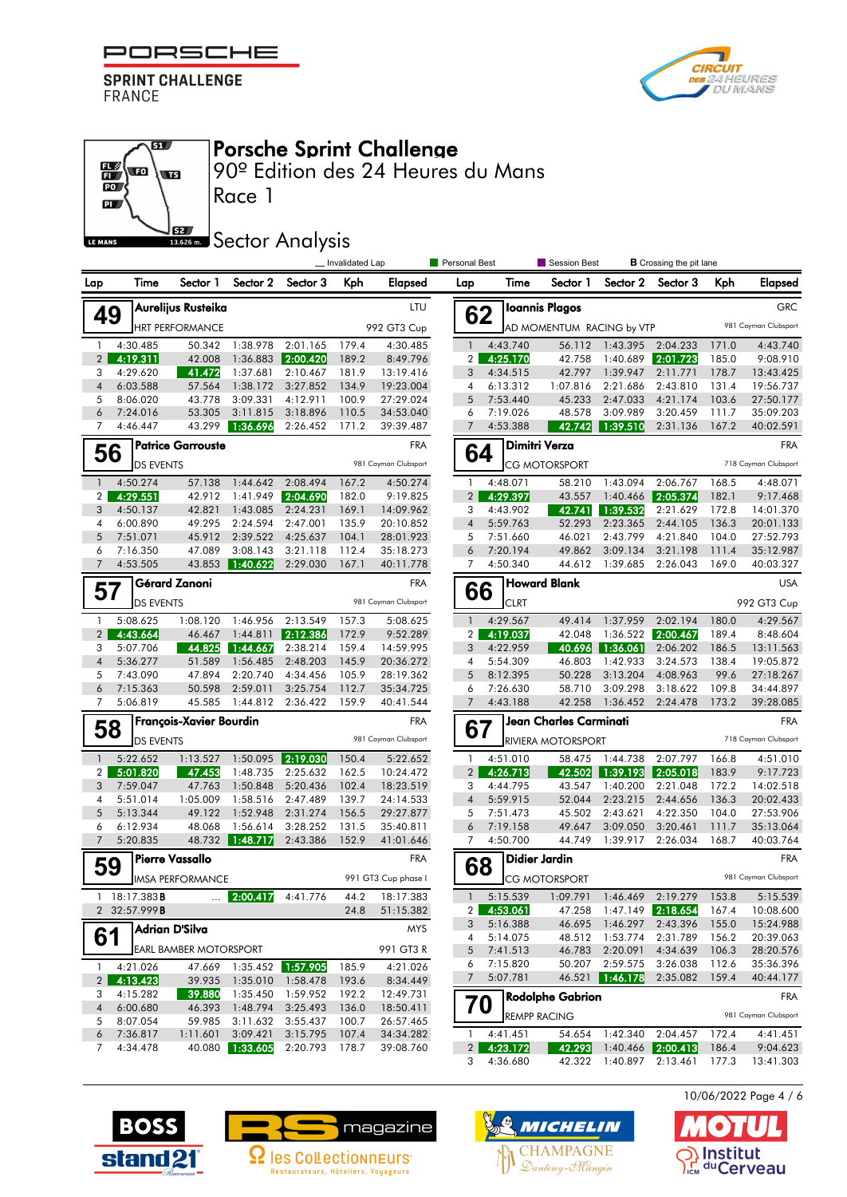

ल





Porsche Sprint Challenge

|                | 62 |                      | <b>Ioannis Plagos</b>     |                      |                      |                | <b>GRC</b>                         |
|----------------|----|----------------------|---------------------------|----------------------|----------------------|----------------|------------------------------------|
|                |    |                      | AD MOMENTUM RACING by VTP |                      |                      |                | 981 Cayman Clubsport               |
| 1              |    | 4:43.740             | 56.112                    | 1:43.395             | 2:04.233             | 171.0          | 4:43.740                           |
| 2              |    | 4:25.170             | 42.758                    | 1:40.689             | 2:01.723             | 185.0          | 9:08.910                           |
| 3              |    | 4:34.515             | 42.797                    | 1:39.947             | 2:11.771             | 178.7          | 13:43.425                          |
| 4              |    | 6:13.312             | 1:07.816                  | 2:21.686             | 2:43.810             | 131.4          | 19:56.737                          |
| 5              |    | 7:53.440             | 45.233                    | 2:47.033             | 4:21.174             | 103.6          | 27:50.177                          |
| 6              |    | 7:19.026             | 48.578                    | 3:09.989             | 3:20.459             | 111.7          | 35:09.203                          |
| 7              |    | 4:53.388             | 42.742                    | 1:39.510             | 2:31.136             | 167.2          | 40:02.591                          |
|                |    | Dimitri Verza        |                           |                      |                      |                | <b>FRA</b>                         |
|                | 64 |                      | CG MOTORSPORT             |                      |                      |                | 718 Cayman Clubsport               |
| 1              |    | 4:48.071             | 58.210                    | 1:43.094             | 2:06.767             | 168.5          | 4:48.071                           |
| $\overline{2}$ |    | 4:29.397             | 43.557                    | 1:40.466             | 2:05.374             | 182.1          | 9:17.468                           |
| 3              |    | 4:43.902             | 42.741                    | 1:39.532             | 2:21.629             | 172.8          | 14:01.370                          |
| 4              |    | 5:59.763             | 52.293                    | 2:23.365             | 2:44.105             | 136.3          | 20:01.133                          |
| 5              |    | 7:51.660             | 46.021                    | 2:43.799             | 4:21.840             | 104.0          | 27:52.793                          |
| 6              |    | 7:20.194             | 49.862                    | 3:09.134             | 3:21.198             | 111.4          | 35:12.987                          |
| 7              |    | 4:50.340             | 44.612                    | 1:39.685             | 2:26.043             | 169.0          | 40:03.327                          |
|                | 66 |                      | <b>Howard Blank</b>       |                      |                      |                | <b>USA</b>                         |
|                |    | CLRT                 |                           |                      |                      |                | 992 GT3 Cup                        |
| 1              |    | 4:29.567             | 49.414                    | 1:37.959             | 2:02.194             | 180.0          | 4:29.567                           |
| 2              |    | 4:19.037             | 42.048                    | 1:36.522             | 2:00.467             | 189.4          | 8:48.604                           |
| 3              |    | 4:22.959             | 40.696                    | 1:36.061             | 2:06.202             | 186.5          | 13:11.563                          |
| 4              |    | 5:54.309             | 46.803                    | 1:42.933             | 3:24.573             | 138.4          | 19:05.872                          |
| 5              |    | 8:12.395             | 50.228                    | 3:13.204             | 4:08.963             | 99.6           | 27:18.267                          |
| 6<br>7         |    | 7:26.630<br>4:43.188 | 58.710<br>42.258          | 3:09.298<br>1:36.452 | 3:18.622<br>2:24.478 | 109.8<br>173.2 | 34:44.897<br>39:28.085             |
|                |    |                      |                           |                      |                      |                |                                    |
| 67             |    |                      | Jean Charles Carminati    |                      |                      |                | FRA                                |
|                |    |                      | RIVIERA MOTORSPORT        |                      |                      |                | 718 Cayman Clubsport               |
| 1              |    | 4:51.010             | 58.475                    | 1:44.738             | 2:07.797             | 166.8          | 4:51.010                           |
| $\overline{c}$ |    | 4:26.713             | 42.502                    | 1:39.193             | 2:05.018             | 183.9          | 9:17.723                           |
| 3              |    | 4:44.795             | 43.547                    | 1:40.200             | 2:21.048             | 172.2          | 14:02.518                          |
| 4              |    | 5:59.915             | 52.044                    | 2:23.215             | 2:44.656             | 136.3          | 20:02.433                          |
| 5<br>6         |    | 7:51.473<br>7:19.158 | 45.502<br>49.647          | 2:43.621<br>3:09.050 | 4:22.350<br>3:20.461 | 104.0<br>111.7 | 27:53.906<br>35:13.064             |
| 7              |    | 4:50.700             | 44.749                    | 1:39.917             | 2:26.034             | 168.7          | 40:03.764                          |
|                |    |                      |                           |                      |                      |                |                                    |
| 68             |    | Didier Jardin        |                           |                      |                      |                | <b>FRA</b><br>981 Cayman Clubsport |
|                |    |                      | CG MOTORSPORT             |                      |                      |                |                                    |
| 1              |    | 5:15.539             | 1:09.791                  | 1:46.469             | 2:19.279             | 153.8          | 5:15.539                           |
| $\overline{2}$ |    | 4:53.061             | 47.258                    | 1:47.149             | 2:18.654             | 167.4          | 10:08.600                          |
| 3              |    | 5:16.388<br>5:14.075 | 46.695                    | 1:46.297             | 2:43.396             | 155.0          | 15:24.988<br>20:39.063             |
| 4<br>5         |    |                      | 48.512<br>46.783          | 1:53.774             | 2:31.789<br>4:34.639 | 156.2<br>106.3 | 28:20.576                          |
| 6              |    | 7:41.513<br>7:15.820 | 50.207                    | 2:20.091<br>2:59.575 | 3:26.038             | 112.6          | 35:36.396                          |
| 7              |    | 5:07.781             | 46.521                    | 1:46.178             | 2:35.082             | 159.4          | 40:44.177                          |
|                |    |                      | Rodolphe Gabrion          |                      |                      |                | FRA                                |
| 70             |    | <b>REMPP RACING</b>  |                           |                      |                      |                | 981 Cayman Clubsport               |
| 1              |    | 4:41.451             | 54.654                    | 1:42.340             | 2:04.457             | 172.4          | 4:41.451                           |
| 2              |    | 4:23.172             | 42.293                    | 1:40.466             | 2:00.413             | 186.4          | 9:04.623                           |
| 3              |    | 4:36.680             | 42.322                    | 1:40.897             | 2:13.461             | 177.3          | 13:41.303                          |
|                |    |                      |                           |                      |                      |                |                                    |







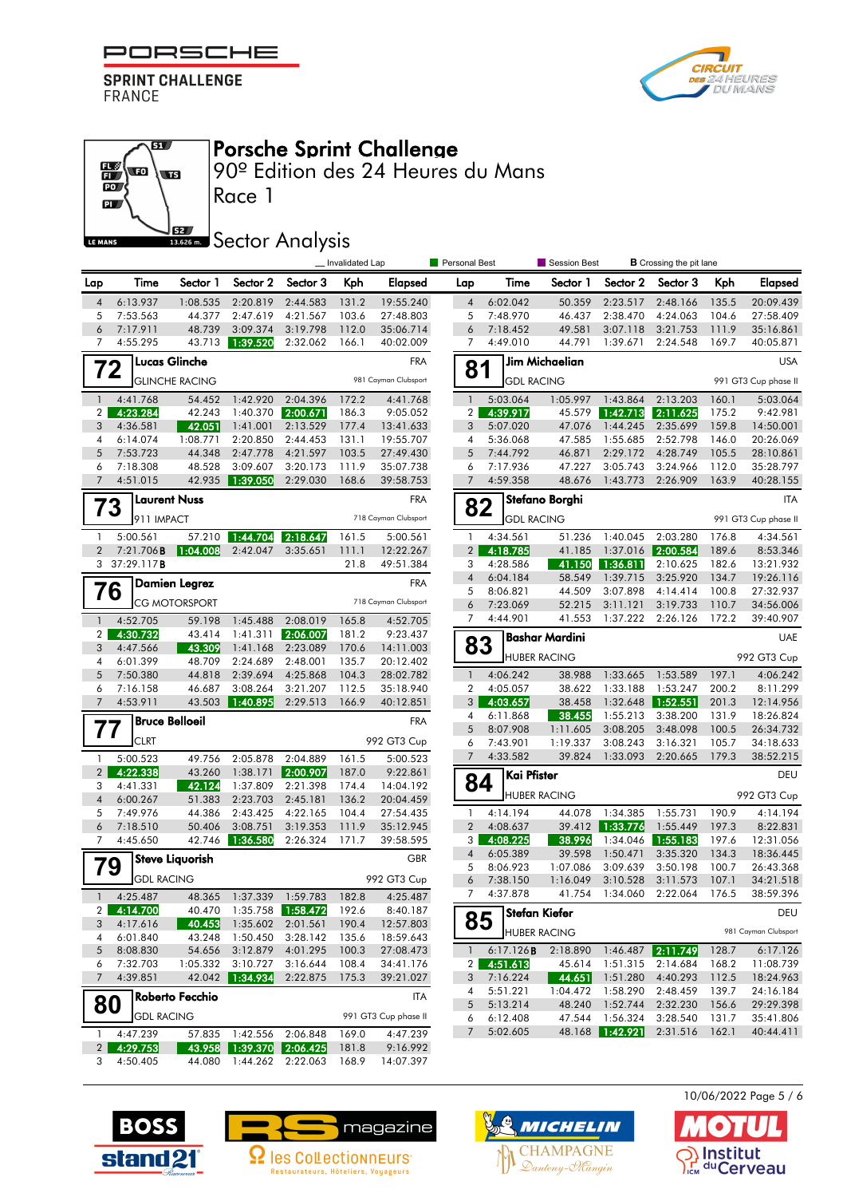

 $\overline{\mathbf{S}}$ 

**ST** 





90º Edition des 24 Heures du Mans

⊞ ↓ □  $\overline{\mathbf{p}}$ **S2** LE MANS

## **SECONDER SECTOR Analysis**

Race 1

|                      |                      |                       |                          |                      | _Invalidated Lap |                        | Personal Best                  |                      | Session Best        |                      | <b>B</b> Crossing the pit lane |                |                        |
|----------------------|----------------------|-----------------------|--------------------------|----------------------|------------------|------------------------|--------------------------------|----------------------|---------------------|----------------------|--------------------------------|----------------|------------------------|
| Lap                  | Time                 | Sector 1              | Sector 2                 | Sector 3             | Kph              | Elapsed                | Lap                            | Time                 | Sector 1            | Sector 2             | Sector 3                       | Kph            | Elapsed                |
| $\overline{4}$       | 6:13.937             | 1:08.535              | 2:20.819                 | 2:44.583             | 131.2            | 19:55.240              | $\overline{4}$                 | 6:02.042             | 50.359              | 2:23.517             | 2:48.166                       | 135.5          | 20:09.439              |
| 5                    | 7:53.563             | 44.377                | 2:47.619                 | 4:21.567             | 103.6            | 27:48.803              | 5                              | 7:48.970             | 46.437              | 2:38.470             | 4:24.063                       | 104.6          | 27:58.409              |
| 6                    | 7:17.911             | 48.739                | 3:09.374                 | 3:19.798             | 112.0            | 35:06.714              | 6                              | 7:18.452             | 49.581              | 3:07.118             | 3:21.753                       | 111.9          | 35:16.861              |
| $\overline{7}$       | 4:55.295             | 43.713                | 1:39.520                 | 2:32.062             | 166.1            | 40:02.009              | $\overline{7}$                 | 4:49.010             | 44.791              | 1:39.671             | 2:24.548                       | 169.7          | 40:05.871              |
| 72                   |                      | <b>Lucas Glinche</b>  |                          |                      |                  | <b>FRA</b>             | 81                             |                      | Jim Michaelian      |                      |                                |                | <b>USA</b>             |
|                      |                      | <b>GLINCHE RACING</b> |                          |                      |                  | 981 Cayman Clubsport   |                                | <b>GDL RACING</b>    |                     |                      |                                |                | 991 GT3 Cup phase II   |
| $\mathbf{1}$         | 4:41.768             | 54.452                | 1:42.920                 | 2:04.396             | 172.2            | 4:41.768               | $\mathbf{1}$                   | 5:03.064             | 1:05.997            | 1:43.864             | 2:13.203                       | 160.1          | 5:03.064               |
| $\overline{2}$       | 4:23.284             | 42.243                | 1:40.370                 | 2:00.671             | 186.3            | 9:05.052               | 2 <sup>1</sup>                 | 4:39.917             | 45.579              | 1:42.713             | 2:11.625                       | 175.2          | 9:42.981               |
| 3                    | 4:36.581             | 42.051                | 1:41.001                 | 2:13.529             | 177.4            | 13:41.633              | 3                              | 5:07.020             | 47.076              | 1:44.245             | 2:35.699                       | 159.8          | 14:50.001              |
| 4                    | 6:14.074             | 1:08.771              | 2:20.850                 | 2:44.453             | 131.1            | 19:55.707              | 4                              | 5:36.068             | 47.585              | 1:55.685             | 2:52.798                       | 146.0          | 20:26.069              |
| 5                    | 7:53.723             | 44.348                | 2:47.778                 | 4:21.597             | 103.5            | 27:49.430              | 5                              | 7:44.792             | 46.871              | 2:29.172             | 4:28.749                       | 105.5          | 28:10.861              |
| 6<br>$7\overline{ }$ | 7:18.308             | 48.528<br>42.935      | 3:09.607                 | 3:20.173<br>2:29.030 | 111.9            | 35:07.738              | 6<br>$\overline{7}$            | 7:17.936<br>4:59.358 | 47.227<br>48.676    | 3:05.743             | 3:24.966<br>2:26.909           | 112.0<br>163.9 | 35:28.797<br>40:28.155 |
|                      | 4:51.015             |                       | 1:39.050                 |                      | 168.6            | 39:58.753              |                                |                      |                     | 1:43.773             |                                |                |                        |
| 73                   |                      | Laurent Nuss          |                          |                      |                  | <b>FRA</b>             | 82                             |                      | Stefano Borghi      |                      |                                |                | <b>ITA</b>             |
|                      | 911 IMPACT           |                       |                          |                      |                  | 718 Cayman Clubsport   |                                | <b>GDL RACING</b>    |                     |                      |                                |                | 991 GT3 Cup phase II   |
| $\mathbf{1}$         | 5:00.561             | 57.210                | 1:44.704                 | 2:18.647             | 161.5            | 5:00.561               | $\mathbf{1}$                   | 4:34.561             | 51.236              | 1:40.045             | 2:03.280                       | 176.8          | 4:34.561               |
| 2                    | 7:21.706B            | 1:04.008              | 2:42.047                 | 3:35.651             | 111.1            | 12:22.267              | $\overline{2}$                 | 4:18.785             | 41.185              | 1:37.016             | 2:00.584                       | 189.6          | 8:53.346               |
|                      | 3 $37:29.117B$       |                       |                          |                      | 21.8             | 49:51.384              | 3                              | 4:28.586             | 41.150              | 1:36.811             | 2:10.625                       | 182.6          | 13:21.932              |
|                      |                      | <b>Damien Legrez</b>  |                          |                      |                  | <b>FRA</b>             | $\overline{4}$                 | 6:04.184             | 58.549              | 1:39.715             | 3:25.920                       | 134.7          | 19:26.116              |
| 76                   |                      | <b>CG MOTORSPORT</b>  |                          |                      |                  | 718 Cayman Clubsport   | 5                              | 8:06.821             | 44.509              | 3:07.898             | 4:14.414                       | 100.8          | 27:32.937              |
|                      |                      |                       |                          |                      |                  |                        | 6<br>$\overline{7}$            | 7:23.069<br>4:44.901 | 52.215<br>41.553    | 3:11.121<br>1:37.222 | 3:19.733<br>2:26.126           | 110.7<br>172.2 | 34:56.006<br>39:40.907 |
| $\mathbf{1}$         | 4:52.705             | 59.198                | 1:45.488                 | 2:08.019             | 165.8            | 4:52.705               |                                |                      |                     |                      |                                |                |                        |
| $\overline{2}$<br>3  | 4:30.732<br>4:47.566 | 43.414<br>43.309      | 1:41.311<br>1:41.168     | 2:06.007<br>2:23.089 | 181.2<br>170.6   | 9:23.437<br>14:11.003  | 83                             |                      | Bashar Mardini      |                      |                                |                | UAE                    |
| 4                    | 6:01.399             | 48.709                | 2:24.689                 | 2:48.001             | 135.7            | 20:12.402              |                                |                      | <b>HUBER RACING</b> |                      |                                |                | 992 GT3 Cup            |
| 5                    | 7:50.380             | 44.818                | 2:39.694                 | 4:25.868             | 104.3            | 28:02.782              | $\mathbf{1}$                   | 4:06.242             | 38.988              | 1:33.665             | 1:53.589                       | 197.1          | 4:06.242               |
| 6                    | 7:16.158             | 46.687                | 3:08.264                 | 3:21.207             | 112.5            | 35:18.940              | $\overline{\mathbf{2}}$        | 4:05.057             | 38.622              | 1:33.188             | 1:53.247                       | 200.2          | 8:11.299               |
| $\overline{7}$       | 4:53.911             | 43.503                | 1:40.895                 | 2:29.513             | 166.9            | 40:12.851              | 3                              | 4:03.657             | 38.458              | 1:32.648             | 1:52.551                       | 201.3          | 12:14.956              |
|                      |                      | <b>Bruce Belloeil</b> |                          |                      |                  | <b>FRA</b>             | 4                              | 6:11.868             | 38.455              | 1:55.213             | 3:38.200                       | 131.9          | 18:26.824              |
| 77                   |                      |                       |                          |                      |                  |                        | 5                              | 8:07.908             | 1:11.605            | 3:08.205             | 3:48.098                       | 100.5          | 26:34.732              |
|                      | <b>CLRT</b>          |                       |                          |                      |                  | 992 GT3 Cup            | 6                              | 7:43.901             | 1:19.337            | 3:08.243             | 3:16.321                       | 105.7          | 34:18.633              |
| $\mathbf{1}$         | 5:00.523             | 49.756                | 2:05.878                 | 2:04.889             | 161.5            | 5:00.523               | $\overline{7}$                 | 4:33.582             | 39.824              | 1:33.093             | 2:20.665                       | 179.3          | 38:52.215              |
| $\overline{2}$       | 4:22.338             | 43.260                | 1:38.171                 | 2:00.907             | 187.0            | 9:22.861               |                                | Kai Pfister          |                     |                      |                                |                | DEU                    |
| 3                    | 4:41.331             | 42.124                | 1:37.809                 | 2:21.398             | 174.4            | 14:04.192              | 84                             |                      | <b>HUBER RACING</b> |                      |                                |                | 992 GT3 Cup            |
| $\overline{4}$       | 6:00.267             | 51.383                | 2:23.703                 | 2:45.181             | 136.2            | 20:04.459              |                                |                      |                     |                      |                                |                |                        |
| 5<br>6               | 7:49.976             | 44.386<br>50.406      | 2:43.425<br>3:08.751     | 4:22.165<br>3:19.353 | 104.4            | 27:54.435              | $\mathbf{1}$<br>$\overline{2}$ | 4:14.194<br>4:08.637 | 44.078<br>39.412    | 1:34.385<br>1:33.776 | 1:55.731<br>1:55.449           | 190.9<br>197.3 | 4:14.194               |
| 7                    | 7:18.510<br>4:45.650 | 42.746                | 1:36.580                 | 2:26.324             | 111.9<br>171.7   | 35:12.945<br>39:58.595 | 3 <sup>1</sup>                 | 4:08.225             | 38.996              | 1:34.046             | 1:55.183                       | 197.6          | 8:22.831<br>12:31.056  |
|                      |                      |                       |                          |                      |                  |                        | 4                              | 6:05.389             | 39.598              | 1:50.471             | 3:35.320                       | 134.3          | 18:36.445              |
| 79                   |                      | Steve Liquorish       |                          |                      |                  | <b>GBR</b>             | 5                              | 8:06.923             | 1:07.086            | 3:09.639             | 3:50.198                       | 100.7          | 26:43.368              |
|                      | <b>GDL RACING</b>    |                       |                          |                      |                  | 992 GT3 Cup            | 6                              | 7:38.150             | 1:16.049            | 3:10.528             | 3:11.573                       | 107.1          | 34:21.518              |
| $\mathbf{1}$         | 4:25.487             |                       | 48.365 1:37.339 1:59.783 |                      | 182.8            | 4:25.487               | 7                              | 4:37.878             | 41.754              | 1:34.060             | 2:22.064                       | 176.5          | 38:59.396              |
| $\overline{2}$       | 4:14.700             | 40.470                |                          |                      | 192.6            | 8:40.187               |                                |                      | Stefan Kiefer       |                      |                                |                | DEU                    |
| 3                    | 4:17.616             | 40.453                | 1:35.602                 | 2:01.561             | 190.4            | 12:57.803              | 85                             |                      |                     |                      |                                |                |                        |
| 4                    | 6:01.840             | 43.248                | 1:50.450                 | 3:28.142             | 135.6            | 18:59.643              |                                |                      | <b>HUBER RACING</b> |                      |                                |                | 981 Cayman Clubsport   |
| 5                    | 8:08.830             | 54.656                | 3:12.879                 | 4:01.295             | 100.3            | 27:08.473              | $\mathbf{1}$                   | 6:17.126B            | 2:18.890            |                      | $1:46.487$ 2:11.749            | 128.7          | 6:17.126               |
| 6                    | 7:32.703             | 1:05.332              | 3:10.727                 | 3:16.644             | 108.4            | 34:41.176              | 2 <sub>1</sub>                 | 4:51.613             | 45.614              | 1:51.315             | 2:14.684                       | 168.2          | 11:08.739              |
| $7^{\circ}$          | 4:39.851             |                       | 42.042 1:34.934          | 2:22.875             | 175.3            | 39:21.027              | 3                              | 7:16.224             | 44.651              | 1:51.280             | 4:40.293                       | 112.5          | 18:24.963              |
|                      |                      | Roberto Fecchio       |                          |                      |                  | <b>ITA</b>             | 4                              | 5:51.221             | 1:04.472            | 1:58.290             | 2:48.459                       | 139.7          | 24:16.184              |
| 80                   | <b>GDL RACING</b>    |                       |                          |                      |                  | 991 GT3 Cup phase II   | 5                              | 5:13.214             | 48.240              | 1:52.744             | 2:32.230                       | 156.6          | 29:29.398              |
|                      |                      |                       |                          |                      |                  |                        | 6<br>7                         | 6:12.408             | 47.544<br>48.168    | 1:56.324             | 3:28.540<br>2:31.516           | 131.7<br>162.1 | 35:41.806<br>40:44.411 |
| $\mathbf{1}$         | 4:47.239             | 57.835                | 1:42.556                 | 2:06.848             | 169.0            | 4:47.239               |                                | 5:02.605             |                     | 1:42.921             |                                |                |                        |
| 2 <sub>1</sub>       | 4:29.753             | 43.958                |                          | 1:39.370 2:06.425    | 181.8            | 9:16.992               |                                |                      |                     |                      |                                |                |                        |
| 3                    | 4:50.405             | 44.080                |                          | 1:44.262 2:22.063    | 168.9            | 14:07.397              |                                |                      |                     |                      |                                |                |                        |